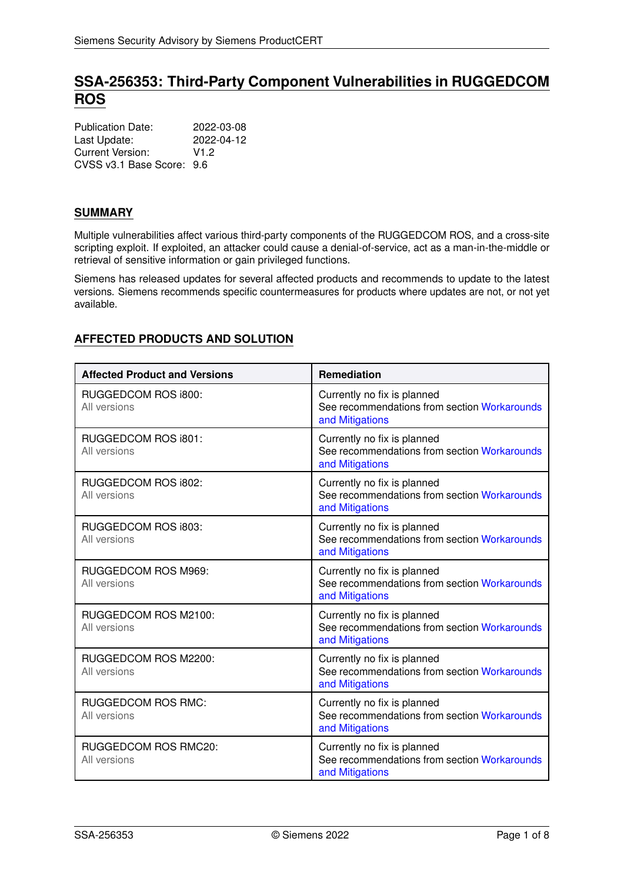# **SSA-256353: Third-Party Component Vulnerabilities in RUGGEDCOM ROS**

| <b>Publication Date:</b>  | 2022-03-08       |
|---------------------------|------------------|
| Last Update:              | 2022-04-12       |
| Current Version:          | V <sub>1.2</sub> |
| CVSS v3.1 Base Score: 9.6 |                  |

# **SUMMARY**

Multiple vulnerabilities affect various third-party components of the RUGGEDCOM ROS, and a cross-site scripting exploit. If exploited, an attacker could cause a denial-of-service, act as a man-in-the-middle or retrieval of sensitive information or gain privileged functions.

Siemens has released updates for several affected products and recommends to update to the latest versions. Siemens recommends specific countermeasures for products where updates are not, or not yet available.

# <span id="page-0-0"></span>**AFFECTED PRODUCTS AND SOLUTION**

| <b>Affected Product and Versions</b>      | Remediation                                                                                    |
|-------------------------------------------|------------------------------------------------------------------------------------------------|
| RUGGEDCOM ROS i800:<br>All versions       | Currently no fix is planned<br>See recommendations from section Workarounds<br>and Mitigations |
| RUGGEDCOM ROS i801:<br>All versions       | Currently no fix is planned<br>See recommendations from section Workarounds<br>and Mitigations |
| RUGGEDCOM ROS i802:<br>All versions       | Currently no fix is planned<br>See recommendations from section Workarounds<br>and Mitigations |
| RUGGEDCOM ROS i803:<br>All versions       | Currently no fix is planned<br>See recommendations from section Workarounds<br>and Mitigations |
| RUGGEDCOM ROS M969:<br>All versions       | Currently no fix is planned<br>See recommendations from section Workarounds<br>and Mitigations |
| RUGGEDCOM ROS M2100:<br>All versions      | Currently no fix is planned<br>See recommendations from section Workarounds<br>and Mitigations |
| RUGGEDCOM ROS M2200:<br>All versions      | Currently no fix is planned<br>See recommendations from section Workarounds<br>and Mitigations |
| <b>RUGGEDCOM ROS RMC:</b><br>All versions | Currently no fix is planned<br>See recommendations from section Workarounds<br>and Mitigations |
| RUGGEDCOM ROS RMC20:<br>All versions      | Currently no fix is planned<br>See recommendations from section Workarounds<br>and Mitigations |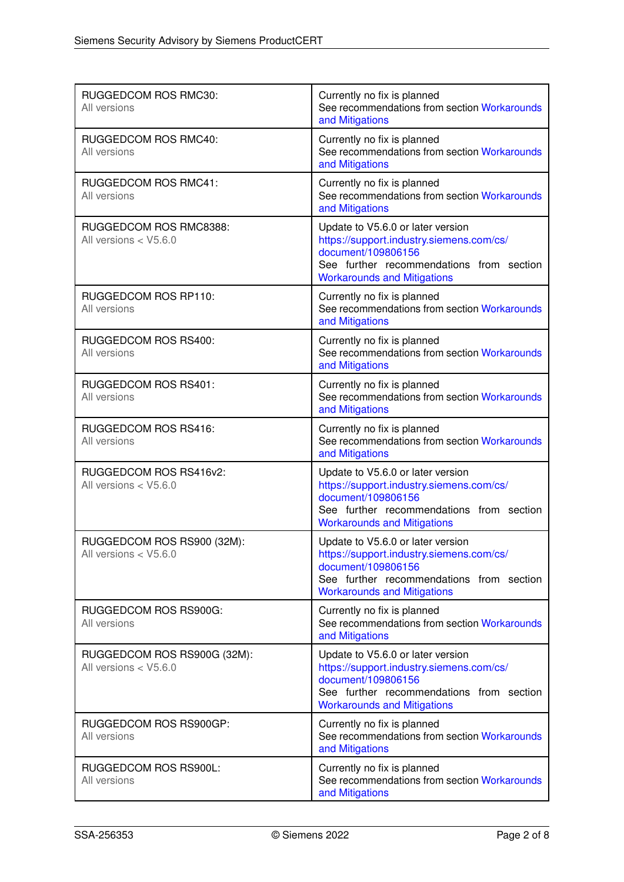| RUGGEDCOM ROS RMC30:<br>All versions                   | Currently no fix is planned<br>See recommendations from section Workarounds<br>and Mitigations                                                                                        |
|--------------------------------------------------------|---------------------------------------------------------------------------------------------------------------------------------------------------------------------------------------|
| RUGGEDCOM ROS RMC40:<br>All versions                   | Currently no fix is planned<br>See recommendations from section Workarounds<br>and Mitigations                                                                                        |
| <b>RUGGEDCOM ROS RMC41:</b><br>All versions            | Currently no fix is planned<br>See recommendations from section Workarounds<br>and Mitigations                                                                                        |
| RUGGEDCOM ROS RMC8388:<br>All versions $<$ V5.6.0      | Update to V5.6.0 or later version<br>https://support.industry.siemens.com/cs/<br>document/109806156<br>See further recommendations from section<br><b>Workarounds and Mitigations</b> |
| RUGGEDCOM ROS RP110:<br>All versions                   | Currently no fix is planned<br>See recommendations from section Workarounds<br>and Mitigations                                                                                        |
| RUGGEDCOM ROS RS400:<br>All versions                   | Currently no fix is planned<br>See recommendations from section Workarounds<br>and Mitigations                                                                                        |
| <b>RUGGEDCOM ROS RS401:</b><br>All versions            | Currently no fix is planned<br>See recommendations from section Workarounds<br>and Mitigations                                                                                        |
| RUGGEDCOM ROS RS416:<br>All versions                   | Currently no fix is planned<br>See recommendations from section Workarounds<br>and Mitigations                                                                                        |
| RUGGEDCOM ROS RS416v2:<br>All versions $<$ V5.6.0      | Update to V5.6.0 or later version<br>https://support.industry.siemens.com/cs/<br>document/109806156<br>See further recommendations from section<br><b>Workarounds and Mitigations</b> |
| RUGGEDCOM ROS RS900 (32M):<br>All versions $<$ V5.6.0  | Update to V5.6.0 or later version<br>https://support.industry.siemens.com/cs/<br>document/109806156<br>See further recommendations from section<br><b>Workarounds and Mitigations</b> |
| RUGGEDCOM ROS RS900G:<br>All versions                  | Currently no fix is planned<br>See recommendations from section Workarounds<br>and Mitigations                                                                                        |
| RUGGEDCOM ROS RS900G (32M):<br>All versions $<$ V5.6.0 | Update to V5.6.0 or later version<br>https://support.industry.siemens.com/cs/<br>document/109806156<br>See further recommendations from section<br><b>Workarounds and Mitigations</b> |
| RUGGEDCOM ROS RS900GP:<br>All versions                 | Currently no fix is planned<br>See recommendations from section Workarounds<br>and Mitigations                                                                                        |
| RUGGEDCOM ROS RS900L:<br>All versions                  | Currently no fix is planned<br>See recommendations from section Workarounds<br>and Mitigations                                                                                        |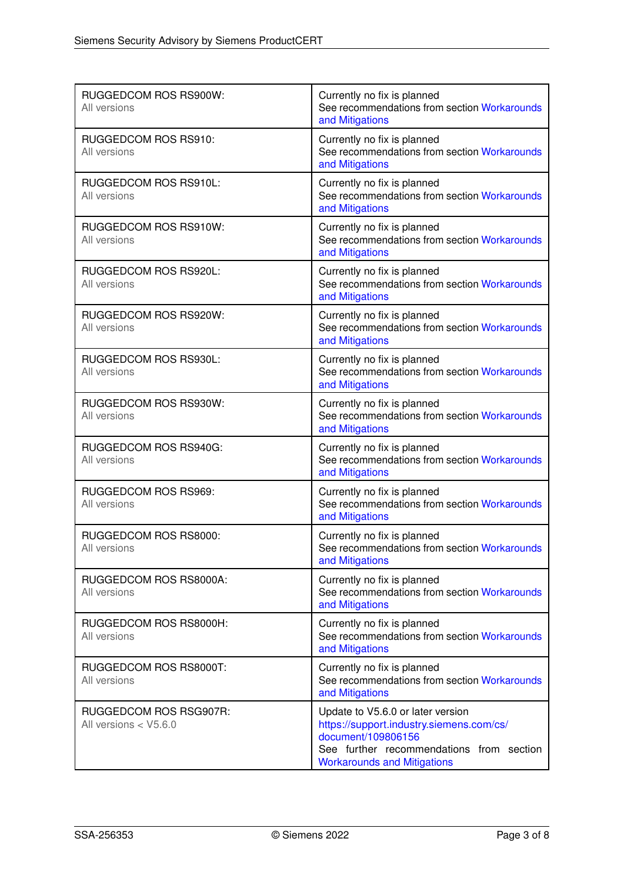| RUGGEDCOM ROS RS900W:<br>All versions             | Currently no fix is planned<br>See recommendations from section Workarounds<br>and Mitigations                                                                                        |
|---------------------------------------------------|---------------------------------------------------------------------------------------------------------------------------------------------------------------------------------------|
| RUGGEDCOM ROS RS910:<br>All versions              | Currently no fix is planned<br>See recommendations from section Workarounds<br>and Mitigations                                                                                        |
| RUGGEDCOM ROS RS910L:<br>All versions             | Currently no fix is planned<br>See recommendations from section Workarounds<br>and Mitigations                                                                                        |
| RUGGEDCOM ROS RS910W:<br>All versions             | Currently no fix is planned<br>See recommendations from section Workarounds<br>and Mitigations                                                                                        |
| RUGGEDCOM ROS RS920L:<br>All versions             | Currently no fix is planned<br>See recommendations from section Workarounds<br>and Mitigations                                                                                        |
| RUGGEDCOM ROS RS920W:<br>All versions             | Currently no fix is planned<br>See recommendations from section Workarounds<br>and Mitigations                                                                                        |
| RUGGEDCOM ROS RS930L:<br>All versions             | Currently no fix is planned<br>See recommendations from section Workarounds<br>and Mitigations                                                                                        |
| RUGGEDCOM ROS RS930W:<br>All versions             | Currently no fix is planned<br>See recommendations from section Workarounds<br>and Mitigations                                                                                        |
| RUGGEDCOM ROS RS940G:<br>All versions             | Currently no fix is planned<br>See recommendations from section Workarounds<br>and Mitigations                                                                                        |
| RUGGEDCOM ROS RS969:<br>All versions              | Currently no fix is planned<br>See recommendations from section Workarounds<br>and Mitigations                                                                                        |
| RUGGEDCOM ROS RS8000:<br>All versions             | Currently no fix is planned<br>See recommendations from section Workarounds<br>and Mitigations                                                                                        |
| RUGGEDCOM ROS RS8000A:<br>All versions            | Currently no fix is planned<br>See recommendations from section Workarounds<br>and Mitigations                                                                                        |
| RUGGEDCOM ROS RS8000H:<br>All versions            | Currently no fix is planned<br>See recommendations from section Workarounds<br>and Mitigations                                                                                        |
| RUGGEDCOM ROS RS8000T:<br>All versions            | Currently no fix is planned<br>See recommendations from section Workarounds<br>and Mitigations                                                                                        |
| RUGGEDCOM ROS RSG907R:<br>All versions $<$ V5.6.0 | Update to V5.6.0 or later version<br>https://support.industry.siemens.com/cs/<br>document/109806156<br>See further recommendations from section<br><b>Workarounds and Mitigations</b> |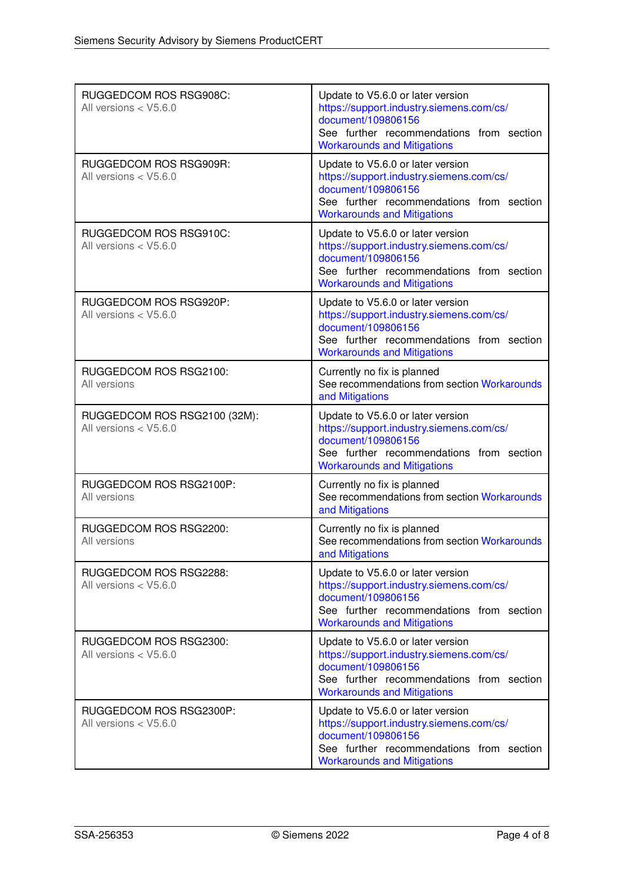| RUGGEDCOM ROS RSG908C:<br>All versions $<$ V5.6.0       | Update to V5.6.0 or later version<br>https://support.industry.siemens.com/cs/<br>document/109806156<br>See further recommendations from section<br><b>Workarounds and Mitigations</b> |
|---------------------------------------------------------|---------------------------------------------------------------------------------------------------------------------------------------------------------------------------------------|
| RUGGEDCOM ROS RSG909R:<br>All versions < V5.6.0         | Update to V5.6.0 or later version<br>https://support.industry.siemens.com/cs/<br>document/109806156<br>See further recommendations from section<br><b>Workarounds and Mitigations</b> |
| RUGGEDCOM ROS RSG910C:<br>All versions $<$ V5.6.0       | Update to V5.6.0 or later version<br>https://support.industry.siemens.com/cs/<br>document/109806156<br>See further recommendations from section<br><b>Workarounds and Mitigations</b> |
| RUGGEDCOM ROS RSG920P:<br>All versions < V5.6.0         | Update to V5.6.0 or later version<br>https://support.industry.siemens.com/cs/<br>document/109806156<br>See further recommendations from section<br><b>Workarounds and Mitigations</b> |
| RUGGEDCOM ROS RSG2100:<br>All versions                  | Currently no fix is planned<br>See recommendations from section Workarounds<br>and Mitigations                                                                                        |
| RUGGEDCOM ROS RSG2100 (32M):<br>All versions $<$ V5.6.0 | Update to V5.6.0 or later version<br>https://support.industry.siemens.com/cs/<br>document/109806156<br>See further recommendations from section<br><b>Workarounds and Mitigations</b> |
| RUGGEDCOM ROS RSG2100P:<br>All versions                 | Currently no fix is planned<br>See recommendations from section Workarounds<br>and Mitigations                                                                                        |
| RUGGEDCOM ROS RSG2200:<br>All versions                  | Currently no fix is planned<br>See recommendations from section Workarounds<br>and Mitigations                                                                                        |
| RUGGEDCOM ROS RSG2288:<br>All versions $<$ V5.6.0       | Update to V5.6.0 or later version<br>https://support.industry.siemens.com/cs/<br>document/109806156<br>See further recommendations from section<br><b>Workarounds and Mitigations</b> |
| RUGGEDCOM ROS RSG2300:<br>All versions $<$ V5.6.0       | Update to V5.6.0 or later version<br>https://support.industry.siemens.com/cs/<br>document/109806156<br>See further recommendations from section<br><b>Workarounds and Mitigations</b> |
| RUGGEDCOM ROS RSG2300P:<br>All versions $<$ V5.6.0      | Update to V5.6.0 or later version<br>https://support.industry.siemens.com/cs/<br>document/109806156<br>See further recommendations from section<br><b>Workarounds and Mitigations</b> |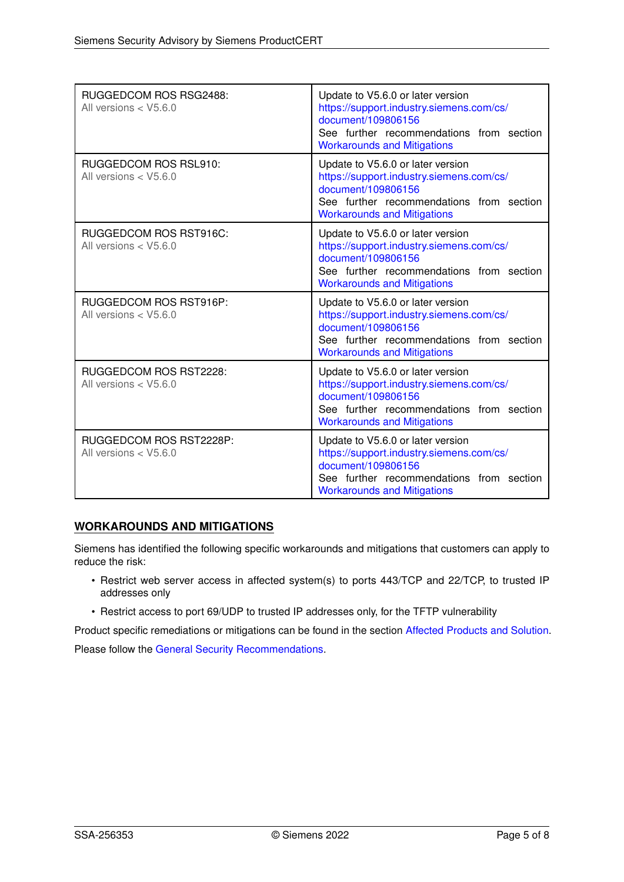| RUGGEDCOM ROS RSG2488:<br>All versions $<$ V5.6.0  | Update to V5.6.0 or later version<br>https://support.industry.siemens.com/cs/<br>document/109806156<br>See further recommendations from section<br><b>Workarounds and Mitigations</b> |
|----------------------------------------------------|---------------------------------------------------------------------------------------------------------------------------------------------------------------------------------------|
| RUGGEDCOM ROS RSL910:<br>All versions $<$ V5.6.0   | Update to V5.6.0 or later version<br>https://support.industry.siemens.com/cs/<br>document/109806156<br>See further recommendations from section<br><b>Workarounds and Mitigations</b> |
| RUGGEDCOM ROS RST916C:<br>All versions < V5.6.0    | Update to V5.6.0 or later version<br>https://support.industry.siemens.com/cs/<br>document/109806156<br>See further recommendations from section<br><b>Workarounds and Mitigations</b> |
| RUGGEDCOM ROS RST916P:<br>All versions $<$ V5.6.0  | Update to V5.6.0 or later version<br>https://support.industry.siemens.com/cs/<br>document/109806156<br>See further recommendations from section<br><b>Workarounds and Mitigations</b> |
| RUGGEDCOM ROS RST2228:<br>All versions $<$ V5.6.0  | Update to V5.6.0 or later version<br>https://support.industry.siemens.com/cs/<br>document/109806156<br>See further recommendations from section<br><b>Workarounds and Mitigations</b> |
| RUGGEDCOM ROS RST2228P:<br>All versions $<$ V5.6.0 | Update to V5.6.0 or later version<br>https://support.industry.siemens.com/cs/<br>document/109806156<br>See further recommendations from section<br><b>Workarounds and Mitigations</b> |

# <span id="page-4-0"></span>**WORKAROUNDS AND MITIGATIONS**

Siemens has identified the following specific workarounds and mitigations that customers can apply to reduce the risk:

- Restrict web server access in affected system(s) to ports 443/TCP and 22/TCP, to trusted IP addresses only
- Restrict access to port 69/UDP to trusted IP addresses only, for the TFTP vulnerability

Product specific remediations or mitigations can be found in the section [Affected Products and Solution.](#page-0-0)

<span id="page-4-1"></span>Please follow the [General Security Recommendations.](#page-4-1)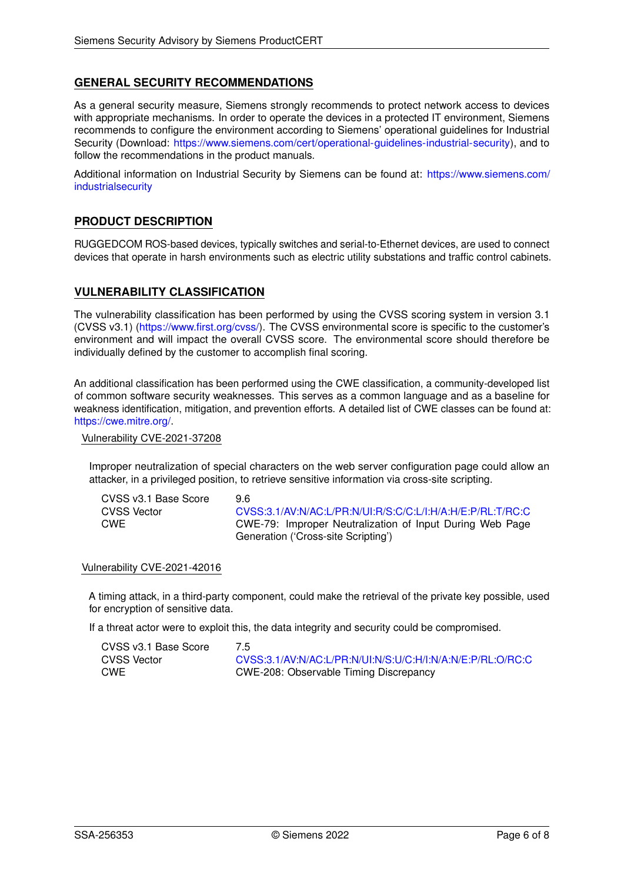# **GENERAL SECURITY RECOMMENDATIONS**

As a general security measure, Siemens strongly recommends to protect network access to devices with appropriate mechanisms. In order to operate the devices in a protected IT environment, Siemens recommends to configure the environment according to Siemens' operational guidelines for Industrial Security (Download: [https://www.siemens.com/cert/operational-guidelines-industrial-security\)](https://www.siemens.com/cert/operational-guidelines-industrial-security), and to follow the recommendations in the product manuals.

Additional information on Industrial Security by Siemens can be found at: [https://www.siemens.com/](https://www.siemens.com/industrialsecurity) [industrialsecurity](https://www.siemens.com/industrialsecurity)

### **PRODUCT DESCRIPTION**

RUGGEDCOM ROS-based devices, typically switches and serial-to-Ethernet devices, are used to connect devices that operate in harsh environments such as electric utility substations and traffic control cabinets.

### **VULNERABILITY CLASSIFICATION**

The vulnerability classification has been performed by using the CVSS scoring system in version 3.1 (CVSS v3.1) [\(https://www.first.org/cvss/\)](https://www.first.org/cvss/). The CVSS environmental score is specific to the customer's environment and will impact the overall CVSS score. The environmental score should therefore be individually defined by the customer to accomplish final scoring.

An additional classification has been performed using the CWE classification, a community-developed list of common software security weaknesses. This serves as a common language and as a baseline for weakness identification, mitigation, and prevention efforts. A detailed list of CWE classes can be found at: [https://cwe.mitre.org/.](https://cwe.mitre.org/)

Vulnerability CVE-2021-37208

Improper neutralization of special characters on the web server configuration page could allow an attacker, in a privileged position, to retrieve sensitive information via cross-site scripting.

| CVSS v3.1 Base Score | 96                                                         |
|----------------------|------------------------------------------------------------|
| CVSS Vector          | CVSS:3.1/AV:N/AC:L/PR:N/UI:R/S:C/C:L/I:H/A:H/E:P/RL:T/RC:C |
| CWE                  | CWE-79: Improper Neutralization of Input During Web Page   |
|                      | Generation ('Cross-site Scripting')                        |

#### Vulnerability CVE-2021-42016

A timing attack, in a third-party component, could make the retrieval of the private key possible, used for encryption of sensitive data.

If a threat actor were to exploit this, the data integrity and security could be compromised.

| CVSS v3.1 Base Score | 7.5                                                        |
|----------------------|------------------------------------------------------------|
| <b>CVSS Vector</b>   | CVSS:3.1/AV:N/AC:L/PR:N/UI:N/S:U/C:H/I:N/A:N/E:P/RL:O/RC:C |
| <b>CWE</b>           | CWE-208: Observable Timing Discrepancy                     |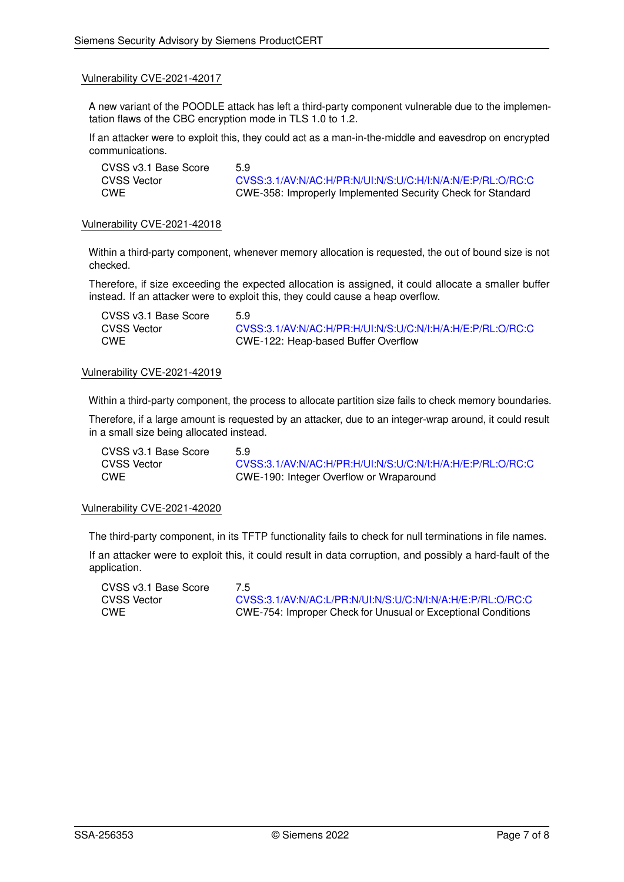#### Vulnerability CVE-2021-42017

A new variant of the POODLE attack has left a third-party component vulnerable due to the implementation flaws of the CBC encryption mode in TLS 1.0 to 1.2.

If an attacker were to exploit this, they could act as a man-in-the-middle and eavesdrop on encrypted communications.

CVSS v3.1 Base Score 5.9

CVSS Vector [CVSS:3.1/AV:N/AC:H/PR:N/UI:N/S:U/C:H/I:N/A:N/E:P/RL:O/RC:C](https://www.first.org/cvss/calculator/3.1#CVSS:3.1/AV:N/AC:H/PR:N/UI:N/S:U/C:H/I:N/A:N/E:P/RL:O/RC:C) CWE CWE-358: Improperly Implemented Security Check for Standard

#### Vulnerability CVE-2021-42018

Within a third-party component, whenever memory allocation is requested, the out of bound size is not checked.

Therefore, if size exceeding the expected allocation is assigned, it could allocate a smaller buffer instead. If an attacker were to exploit this, they could cause a heap overflow.

| CVSS v3.1 Base Score | 5.9                                                        |
|----------------------|------------------------------------------------------------|
| CVSS Vector          | CVSS:3.1/AV:N/AC:H/PR:H/UI:N/S:U/C:N/I:H/A:H/E:P/RL:O/RC:C |
| CWE                  | CWE-122: Heap-based Buffer Overflow                        |

#### Vulnerability CVE-2021-42019

Within a third-party component, the process to allocate partition size fails to check memory boundaries.

Therefore, if a large amount is requested by an attacker, due to an integer-wrap around, it could result in a small size being allocated instead.

| CVSS v3.1 Base Score | 5.9                                                        |
|----------------------|------------------------------------------------------------|
| CVSS Vector          | CVSS:3.1/AV:N/AC:H/PR:H/UI:N/S:U/C:N/I:H/A:H/E:P/RL:O/RC:C |
| <b>CWE</b>           | CWE-190: Integer Overflow or Wraparound                    |

#### Vulnerability CVE-2021-42020

The third-party component, in its TFTP functionality fails to check for null terminations in file names.

If an attacker were to exploit this, it could result in data corruption, and possibly a hard-fault of the application.

CVSS v3.1 Base Score 7.5

CVSS Vector [CVSS:3.1/AV:N/AC:L/PR:N/UI:N/S:U/C:N/I:N/A:H/E:P/RL:O/RC:C](https://www.first.org/cvss/calculator/3.1#CVSS:3.1/AV:N/AC:L/PR:N/UI:N/S:U/C:N/I:N/A:H/E:P/RL:O/RC:C)<br>CWE CWE-754: Improper Check for Unusual or Exceptional Conditions CWE CWE-754: Improper Check for Unusual or Exceptional Conditions